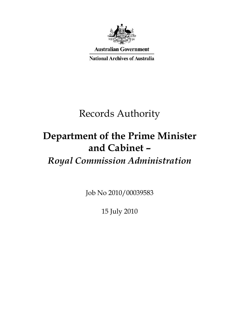

**Australian Government** 

**National Archives of Australia** 

# Records Authority

# **Department of the Prime Minister and Cabinet –**

# *Royal Commission Administration*

Job No 2010/00039583

15 July 2010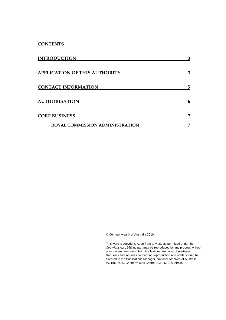**CONTENTS** 

| <b>INTRODUCTION</b>                    | 3  |
|----------------------------------------|----|
| <b>APPLICATION OF THIS AUTHORITY</b>   | 3  |
| <b>CONTACT INFORMATION</b>             | 5  |
| <b>AUTHORISATION</b>                   | 6  |
| <b>CORE BUSINESS</b>                   | 7  |
| <b>ROYAL COMMISSION ADMINISTRATION</b> | π, |

© Commonwealth of Australia 2010

This work is copyright. Apart from any use as permitted under the *Copyright Act 1968,* no part may be reproduced by any process without prior written permission from the National Archives of Australia. Requests and inquiries concerning reproduction and rights should be directed to the Publications Manager, National Archives of Australia, PO Box 7425, Canberra Mail Centre ACT 2610, Australia.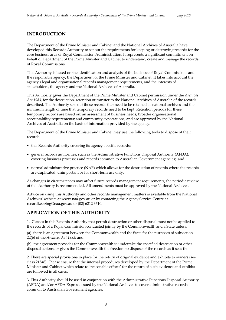### <span id="page-2-0"></span>**INTRODUCTION**

The Department of the Prime Minister and Cabinet and the National Archives of Australia have developed this Records Authority to set out the requirements for keeping or destroying records for the core business area of Royal Commission Administration. It represents a significant commitment on behalf of Department of the Prime Minister and Cabinet to understand, create and manage the records of Royal Commissions.

This Authority is based on the identification and analysis of the business of Royal Commissions and the responsible agency, the Department of the Prime Minister and Cabinet. It takes into account the agency's legal and organisational records management requirements, and the interests of stakeholders, the agency and the National Archives of Australia.

This Authority gives the Department of the Prime Minister and Cabinet permission under the *Archives Act 1983*, for the destruction, retention or transfer to the National Archives of Australia of the records described. The Authority sets out those records that need to be retained as national archives and the minimum length of time that temporary records need to be kept. Retention periods for these temporary records are based on: an assessment of business needs; broader organisational accountability requirements; and community expectations, and are approved by the National Archives of Australia on the basis of information provided by the agency.

The Department of the Prime Minister and Cabinet may use the following tools to dispose of their records:

- this Records Authority covering its agency specific records;
- general records authorities, such as the Administrative Functions Disposal Authority (AFDA), covering business processes and records common to Australian Government agencies; and
- • normal administrative practice (NAP) which allows for the destruction of records where the records are duplicated, unimportant or for short-term use only.

As changes in circumstances may affect future records management requirements, the periodic review of this Authority is recommended. All amendments must be approved by the National Archives.

Advice on using this Authority and other records management matters is available from the National Archives' website at www.naa.gov.au or by contacting the Agency Service Centre at recordkeeping@naa.gov.au or (02) 6212 3610.

### **APPLICATION OF THIS AUTHORITY**

1. Classes in this Records Authority that permit destruction or other disposal must not be applied to the records of a Royal Commission conducted jointly by the Commonwealth and a State unless:

(a) there is an agreement between the Commonwealth and the State for the purposes of subsection 22(6) of the *Archives Act 1983*; and

(b) the agreement provides for the Commonwealth to undertake the specified destruction or other disposal actions, or gives the Commonwealth the freedom to dispose of the records as it sees fit.

 class 21548). Please ensure that the internal procedures developed by the Department of the Prime 2. There are special provisions in place for the return of original evidence and exhibits to owners (see Minister and Cabinet which relate to 'reasonable efforts' for the return of such evidence and exhibits are followed in all cases.

3. This Authority should be used in conjunction with the Administrative Functions Disposal Authority (AFDA) and/or AFDA Express issued by the National Archives to cover administrative records common to Australian Government agencies.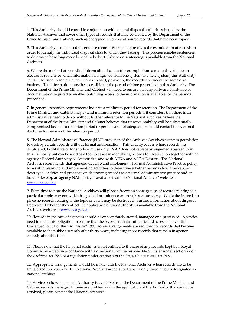4. This Authority should be used in conjunction with general disposal authorities issued by the National Archives that cover other types of records that may be created by the Department of the Prime Minister and Cabinet, such as encrypted records and source records that have been copied.

5. This Authority is to be used to sentence records. Sentencing involves the examination of records in order to identify the individual disposal class to which they belong. This process enables sentencers to determine how long records need to be kept. Advice on sentencing is available from the National Archives.

6. Where the method of recording information changes (for example from a manual system to an electronic system, or when information is migrated from one system to a new system) this Authority can still be used to sentence the records created, providing the records document the same core business. The information must be accessible for the period of time prescribed in this Authority. The Department of the Prime Minister and Cabinet will need to ensure that any software, hardware or documentation required to enable continuing access to the information is available for the periods prescribed.

7. In general, retention requirements indicate a minimum period for retention. The Department of the Prime Minister and Cabinet may extend minimum retention periods if it considers that there is an administrative need to do so, without further reference to the National Archives. Where the Department of the Prime Minister and Cabinet believes that its accountability will be substantially compromised because a retention period or periods are not adequate, it should contact the National Archives for review of the retention period.

 destroyed. Advice and guidance on destroying records as a normal administrative practice and on how to develop an agency NAP policy is available from the National Archives' website at 8. The Normal Administrative Practice (NAP) provision of the Archives Act gives agencies permission to destroy certain records without formal authorisation. This usually occurs where records are duplicated, facilitative or for short-term use only. NAP does not replace arrangements agreed to in this Authority but can be used as a tool to assist in identifying records for destruction together with an agency's Record Authority or Authorities, and with AFDA and AFDA Express. The National Archives recommends that agencies develop and implement a Normal Administrative Practice policy to assist in planning and implementing activities to determine whether records should be kept or www.naa.gov.au

 place no records relating to the topic or event may be destroyed. Further information about disposal 9. From time to time the National Archives will place a freeze on some groups of records relating to a particular topic or event which has gained prominence or provokes controversy. While the freeze is in freezes and whether they affect the application of this Authority is available from the National Archives website at www.naa.gov.au

10. Records in the care of agencies should be appropriately stored, managed and preserved. Agencies need to meet this obligation to ensure that the records remain authentic and accessible over time. Under Section 31 of the *Archives Act 1983*, access arrangements are required for records that become available to the public currently after thirty years, including those records that remain in agency custody after this time.

 11. Please note that the National Archives is not entitled to the care of any records kept by a Royal Commission except in accordance with a direction from the responsible Minister under section 22 of the *Archives Act 1983* or a regulation under section 9 of the *Royal Commissions Act 1902.* 

12. Appropriate arrangements should be made with the National Archives when records are to be transferred into custody. The National Archives accepts for transfer only those records designated as national archives.

13. Advice on how to use this Authority is available from the Department of the Prime Minister and Cabinet records manager. If there are problems with the application of the Authority that cannot be resolved, please contact the National Archives.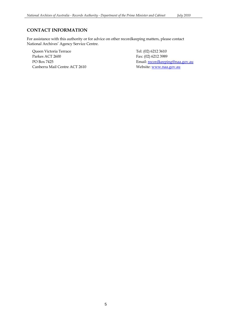### **CONTACT INFORMATION**

For assistance with this authority or for advice on other recordkeeping matters, please contact National Archives' Agency Service Centre.

Queen Victoria Terrace Parkes ACT 2600 PO Box 7425 Canberra Mail Centre ACT 2610

 Fax: (02) 6212 3989 Tel: (02) 6212 3610 Email: recordkeeping@naa.gov.au Website: www.naa.gov.au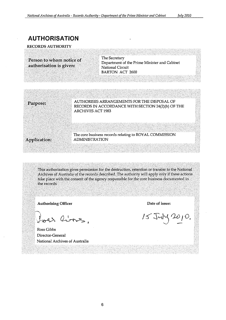## **AUTHORISATION**

RECORDS AUTHORITY

**Person to whom notice of The Secretary** 

If the Prime Minister and Cabinet<br> **Authorisation is given:** National Circuit National Circuit BARTON ACT 2600



This authorisation gives permission for the destruction, retention or transfer to the National Archives of Australia of the records described. The authority will apply only if these actions take place with the consent of the agency responsible for the core business documented in the records.

Authorising Officer

ver ling.

Ross Gibbs Director-General National Archives of Australia

Date of issue:

 $15744200.$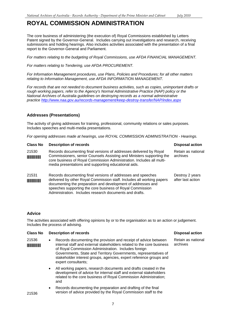<span id="page-6-0"></span>The core business of administering (the execution of) Royal Commissions established by Letters Patent signed by the Governor-General. Includes carrying out investigations and research, receiving submissions and holding hearings. Also includes activities associated with the presentation of a final report to the Governor-General and Parliament.

*For matters relating to the budgeting of Royal Commissions, use AFDA FINANCIAL MANAGEMENT.* 

*For matters relating to Tendering, use AFDA PROCUREMENT.* 

*For Information Management procedures, use Plans, Policies and Procedures; for all other matters relating to Information Management, use AFDA INFORMATION MANAGEMENT.* 

*For records that are not needed to document business activities, such as copies, unimportant drafts or rough working papers, refer to the Agency's Normal Administrative Practice (NAP) policy or the National Archives of Australia guidelines on destroying records as a normal administrative practice http://www.naa.gov.au/records-management/keep-destroy-transfer/NAP/index.aspx* 

### **Addresses (Presentations)**

The activity of giving addresses for training, professional, community relations or sales purposes. Includes speeches and multi-media presentations.

*For opening addresses made at hearings, use ROYAL COMMISSION ADMINISTRATION - Hearings.* 

| <b>Class No</b>                                | <b>Description of records</b>                                                                                                                                                                                                                                                                                                  | <b>Disposal action</b>               |
|------------------------------------------------|--------------------------------------------------------------------------------------------------------------------------------------------------------------------------------------------------------------------------------------------------------------------------------------------------------------------------------|--------------------------------------|
| 21530<br><b>The Committee of the Committee</b> | Records documenting final versions of addresses delivered by Royal<br>Commissioners, senior Counsels Assisting and Ministers supporting the<br>core business of Royal Commission Administration. Includes all multi-<br>media presentations and supporting educational aids.                                                   | Retain as national<br>archives       |
| 21531<br><b>THE REAL PROPERTY</b>              | Records documenting final versions of addresses and speeches<br>delivered by other Royal Commission staff. Includes all working papers<br>documenting the preparation and development of addresses and<br>speeches supporting the core business of Royal Commission<br>Administration. Includes research documents and drafts. | Destroy 2 years<br>after last action |

#### **Advice**

The activities associated with offering opinions by or to the organisation as to an action or judgement. Includes the process of advising.

#### **Class No Description of records Disposal action Activities Action Activities Action Activities Action Activities**

- 21536 Records documenting the provision and receipt of advice between Retain as national internal staff and external stakeholders related to the core business archives **INTITERTIES INTERFALL STATE IN A STATE IS A STATE IN A STATE IS SET OF THE ISLAM** STATE ISLAMING THE CORPORATION of Royal Commission Administration. Includes foreign Governments, State and Territory Governments, representatives of stakeholder interest groups, agencies, expert reference groups and expert consultants;
	- All working papers, research documents and drafts created in the development of advice for internal staff and external stakeholders related to the core business of Royal Commission Administration; and
- Records documenting the preparation and drafting of the final version of advice provided by the Royal Commission staff to the 21536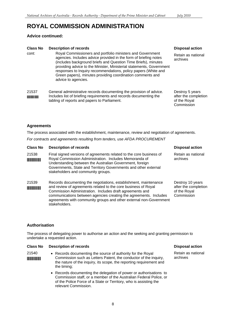### **Advice continued:**

### **Class No Description of records Disposal action Activities Action Activities Action Activities Action Activities**

- cont: Royal Commissioners and portfolio ministers and Government agencies. Includes advice provided in the form of briefing notes (includes background briefs and Question Time Briefs), minutes providing advice to the Minister, Ministerial statements, Government responses to Inquiry recommendations, policy papers (White and Green papers), minutes providing coordination comments and advice to agencies.
- 21537 General administrative records documenting the provision of advice. Destroy 5 years Intertal Includes list of briefing requirements and records documenting the after the completion tabling of reports and papers to Parliament. tabling of reports and papers to Parliament.

Retain as national archives

Commission

#### **Agreements**

The process associated with the establishment, maintenance, review and negotiation of agreements.

*For contracts and agreements resulting from tenders, use AFDA PROCUREMENT* 

| <b>Class No</b> | <b>Description of records</b>                                                                                                                                                                                                                                                                                                             | <b>Disposal action</b>                                                 |
|-----------------|-------------------------------------------------------------------------------------------------------------------------------------------------------------------------------------------------------------------------------------------------------------------------------------------------------------------------------------------|------------------------------------------------------------------------|
| 21538           | Final signed versions of agreements related to the core business of<br>Royal Commission Administration. Includes Memoranda of<br>Understanding between the Australian Government, foreign<br>Governments, State and Territory Governments and other external<br>stakeholders and community groups.                                        | Retain as national<br>archives                                         |
| 21539           | Records documenting the negotiations, establishment, maintenance<br>and review of agreements related to the core business of Royal<br>Commission Administration. Includes draft agreements and<br>communications between agencies creating the agreements. Includes<br>agreements with community groups and other external non-Government | Destroy 10 years<br>after the completion<br>of the Royal<br>Commission |

### **Authorisation**

The process of delegating power to authorise an action and the seeking and granting permission to undertake a requested action.

#### **Class No Description of records Class Action Action Action Action Action Action Action Action Action Action Action Action Action Action Action Action Action Action Action Action Action Action Action Action Action Action A**

stakeholders.

- 21540 Records documenting the source of authority for the Royal Retain as national Retain as national Commission such as Letters Patent, the conductor of the inquiry archives **FEE EXAMPLE 20 EXAMPLE 20 EXAMPLE 20 EXAMPLE 20 EXAMPLE 20 EXAMPLE 20 EXAMPLE 20 EXAMPLE 2016** Commission such as Letters Patent, the conductor of the inquiry, the nature of the inquiry, its scope, the reporting requirement and the timing;
	- Records documenting the delegation of power or authorisations to Commission staff, or a member of the Australian Federal Police, or of the Police Force of a State or Territory, who is assisting the relevant Commission.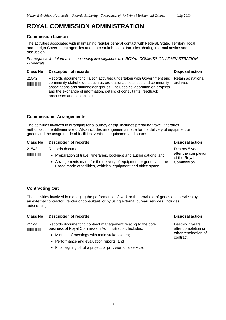### **Commission Liaison**

The activities associated with maintaining regular general contact with Federal, State, Territory, local and foreign Government agencies and other stakeholders. Includes sharing informal advice and discussion.

*For requests for information concerning investigations use ROYAL COMMISSION ADMINISTRATION - Referrals* 

#### **Class No Description of records Disposal action Action Action Action Action Action Action Action Action Action**

21542 Records documenting liaison activities undertaken with Government and Retain as national **FIFFERFER 19 EXECUTE:** Community stakeholders such as professional, business and community archives associations and stakeholder groups. Includes collaboration on projects and the exchange of information, details of consultants, feedback processes and contact lists.

### **Commissioner Arrangements**

The activities involved in arranging for a journey or trip. Includes preparing travel itineraries, authorisation, entitlements etc. Also includes arrangements made for the delivery of equipment or goods and the usage made of facilities, vehicles, equipment and space.

| <b>Class No</b> | <b>Description of records</b>                                                                                                         | <b>Disposal action</b>               |
|-----------------|---------------------------------------------------------------------------------------------------------------------------------------|--------------------------------------|
| 21543           | Records documenting:                                                                                                                  | Destroy 5 years                      |
|                 | • Preparation of travel itineraries, bookings and authorisations; and                                                                 | after the completion<br>of the Roval |
|                 | • Arrangements made for the delivery of equipment or goods and the<br>usage made of facilities, vehicles, equipment and office space. | Commission                           |

### **Contracting Out**

The activities involved in managing the performance of work or the provision of goods and services by an external contractor, vendor or consultant, or by using external bureau services. Includes outsourcing.

| Class No                          | Description of records                                                                                                 | <b>Disposal action</b>                                         |
|-----------------------------------|------------------------------------------------------------------------------------------------------------------------|----------------------------------------------------------------|
| 21544<br><b>THE REAL PROPERTY</b> | Records documenting contract management relating to the core<br>business of Royal Commission Administration. Includes: | Destroy 7 years<br>after completion or<br>other termination of |
|                                   |                                                                                                                        |                                                                |

- Minutes of meetings with main stakeholders; example the contract of meetings with main stakeholders; example the contract
- Performance and evaluation reports: and
- Final signing off of a project or provision of a service.

Destroy 7 years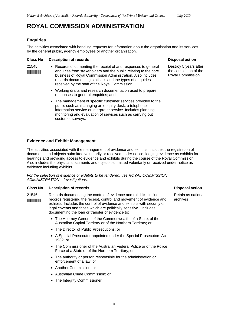#### **Enquiries**

The activities associated with handling requests for information about the organisation and its services by the general public, agency employees or another organisation.

#### **Class No Description of records**

- 
- 21545 Records documenting the receipt of and responses to general **EXECUTE:** Enquiries from stakeholders and the public relating to the core business of Royal Commission Administration. Also includes records documenting statistics and the types of enquiries received by the staff of the Royal Commission.
	- Working drafts and research documentation used to prepare responses to general enquiries; and
	- The management of specific customer services provided to the public such as managing an enquiry desk, a telephone information service or interpreter service. Includes planning, monitoring and evaluation of services such as carrying out customer surveys.

### **Evidence and Exhibit Management**

The activities associated with the management of evidence and exhibits. Includes the registration of documents and objects submitted voluntarily or received under notice, lodging evidence as exhibits for hearings and providing access to evidence and exhibits during the course of the Royal Commission. Also includes the physical documents and objects submitted voluntarily or received under notice as evidence including exhibits.

*For the selection of evidence or exhibits to be tendered, use ROYAL COMMISSION ADMINISTRATION – Investigations.* 

#### **Class No Description of records Class Action Action Action Action Action Action Action Action Action Action Action Action Action Action Action Action Action Action Action Action Action Action Action Action Action Action A**

21546 Records documenting the control of evidence and exhibits. Includes Retain as national **FIFFER 19 ISSN 40 THE READER FEE CONTROL FIFTING** THE records registering the receipt, control and archives exhibits. Includes the control of evidence and exhibits with security or legal caveats and those which are politically sensitive. Includes documenting the loan or transfer of evidence to:

- The Attorney General of the Commonwealth, of a State, of the Australian Capital Territory or of the Northern Territory; or
- The Director of Public Prosecutions: or
- A Special Prosecutor appointed under the Special Prosecutors Act 1982; or
- The Commissioner of the Australian Federal Police or of the Police Force of a State or of the Northern Territory; or
- The authority or person responsible for the administration or enforcement of a law; or
- Another Commission; or
- • Australian Crime Commission; or
- The Integrity Commissioner.

#### **Disposal action**

Destroy 5 years after the completion of the Royal Commission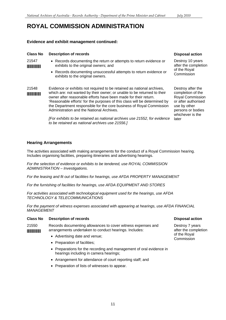#### **Evidence and exhibit management continued:**

| <b>Class No</b>               | <b>Description of records</b>                                                                                                                                                                                                                                                                                                                                                                                          | <b>Disposal action</b>                                                                                              |
|-------------------------------|------------------------------------------------------------------------------------------------------------------------------------------------------------------------------------------------------------------------------------------------------------------------------------------------------------------------------------------------------------------------------------------------------------------------|---------------------------------------------------------------------------------------------------------------------|
| 21547<br><b>The Community</b> | • Records documenting the return or attempts to return evidence or<br>exhibits to the original owners; and                                                                                                                                                                                                                                                                                                             | Destroy 10 years<br>after the complet                                                                               |
|                               | • Records documenting unsuccessful attempts to return evidence or<br>exhibits to the original owners.                                                                                                                                                                                                                                                                                                                  | of the Royal<br>Commission                                                                                          |
| 21548                         | Evidence or exhibits not required to be retained as national archives,<br>which are: not wanted by their owner; or unable to be returned to their<br>owner after reasonable efforts have been made for their return.<br>'Reasonable efforts' for the purposes of this class will be determined by<br>the Department responsible for the core business of Royal Commission<br>Administration and the National Archives. | Destroy after the<br>completion of the<br>Royal Commissio<br>or after authorise<br>use by other<br>persons or bodie |
|                               | [For exhibits to be retained as national archives use 21552, for evidence<br>to be retained as national archives use 21556.]                                                                                                                                                                                                                                                                                           | whichever is the<br>later                                                                                           |

#### **Hearing Arrangements**

The activities associated with making arrangements for the conduct of a Royal Commission hearing. Includes organising facilities, preparing itineraries and advertising hearings.

*For the selection of evidence or exhibits to be tendered, use ROYAL COMMISSION ADMINISTRATION – Investigations.* 

*For the leasing and fit out of facilities for hearings, use AFDA PROPERTY MANAGEMENT* 

*For the furnishing of facilities for hearings, use AFDA EQUIPMENT AND STORES* 

*For activities associated with technological equipment used for the hearings, use AFDA TECHNOLOGY & TELECOMMUNICATIONS* 

*For the payment of witness expenses associated with appearing at hearings, use AFDA FINANCIAL MANAGEMENT* 

#### **Class No Description of records Class Action Action Action Action Action Action Action Action Action Action Action**

- 21550 Records documenting allowances to cover witness expenses and Destroy 7 years arrangements undertaken to conduct hearings. Includes: after the completion \*\*\*\*\* after the completion \*\*\*<br>• Advertising date and venue; Commission \*\*\* \*\*\* Commission
	-
	- Preparation of facilities;
	- Preparations for the recording and management of oral evidence in hearings including in camera hearings;
	- Arrangement for attendance of court reporting staff; and
	- Preparation of lists of witnesses to appear.

#### **Disposal action**

Destroy 10 years ation

completion of the ion ied es whichever is the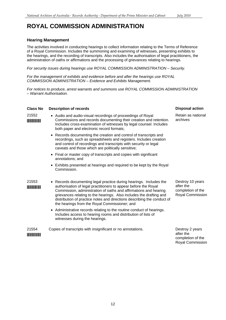### **Hearing Management**

The activities involved in conducting hearings to collect information relating to the Terms of Reference of a Royal Commission. Includes the summoning and examining of witnesses, presenting exhibits to the hearings, and the recording of transcripts. Also includes the authorisation of legal practitioners, the administration of oaths or affirmations and the processing of grievances relating to hearings.

*For security issues during hearings use ROYAL COMMISSION ADMINISTRATION – Security.* 

*For the management of exhibits and evidence before and after the hearings use ROYAL COMMISSION ADMINISTRATION – Evidence and Exhibits Management.* 

*For notices to produce, arrest warrants and summons use ROYAL COMMISSION ADMINISTRATION – Warrant Authorisation.* 

#### **Class No Description of records**

- **THE TERM** Commissions and records documenting their creation and retention. 21552 • Audio and audio-visual recordings of proceedings of Royal Includes cross-examination of witnesses by legal counsel. Includes both paper and electronic record formats;
	- Records documenting the creation and control of transcripts and recordings, such as spreadsheets and registers. Includes creation and control of recordings and transcripts with security or legal caveats and those which are politically sensitive;
	- Final or master copy of transcripts and copies with significant annotations; and
	- Exhibits presented at hearings and required to be kept by the Royal Commission.
- 21553 Records documenting legal practice during hearings. Includes the **EXECUTE:** authorisation of legal practitioners to appear before the Royal Commission, administration of oaths and affirmations and hearing grievances relating to the hearings. Also includes the drafting and distribution of practice notes and directions describing the conduct of the hearings from the Royal Commissioner; and
	- Administrative records relating to the routine conduct of hearings. Includes access to hearing rooms and distribution of lists of witnesses during the hearings.
- 21554 Copies of transcripts with insignificant or no annotations. \*21554\* Destroy 2 years after the completion of the

**Disposal action** 

Retain as national archives

Destroy 10 years after the completion of the Royal Commission

Royal Commission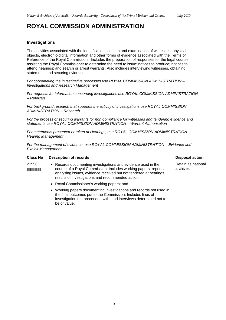### **Investigations**

The activities associated with the identification, location and examination of witnesses, physical objects, electronic-digital information and other forms of evidence associated with the Terms of Reference of the Royal Commission. Includes the preparation of responses for the legal counsel assisting the Royal Commissioner to determine the need to issue: notices to produce; notices to attend hearings; and search or arrest warrants. Also includes interviewing witnesses, obtaining statements and securing evidence.

*For coordinating the investigative processes use ROYAL COMMISSION ADMINISTRATION – Investigations and Research Management* 

*For requests for information concerning investigations use ROYAL COMMISSION ADMINISTRATION – Referrals* 

*For background research that supports the activity of investigations use ROYAL COMMISSION ADMINISTRATION – Research* 

*For the process of securing warrants for non-compliance for witnesses and tendering evidence and statements use ROYAL COMMISSION ADMINISTRATION – Warrant Authorisation* 

*For statements presented or taken at Hearings, use ROYAL COMMISSION ADMINISTRATION - Hearing Management* 

*For the management of evidence, use ROYAL COMMISSION ADMINISTRATION – Evidence and Exhibit Management.* 

### **Class No Description of records Class Action Action Action Action Action Action Action Action Action Action Action**

- 21556 Records documenting investigations and evidence used in the Retain as national<br> **EXECOPED FOR A RETAIN COMMUNISTION INCLUDES WORKING DADETS** FOR THE RETAINTIES **FILITERTY COURSE OF A ROYAL COMMISSION.** Includes working papers, reports analysing issues, evidence received but not tendered at hearings, results of investigations and recommended action;
	- Royal Commissioner's working papers; and
	- Working papers documenting investigations and records not used in the final outcomes put to the Commission. Includes lines of investigation not proceeded with, and interviews determined not to be of value.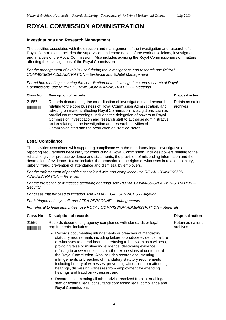#### **Investigations and Research Management**

The activities associated with the direction and management of the investigation and research of a Royal Commission. Includes the supervision and coordination of the work of solicitors, investigators and analysts of the Royal Commission. Also includes advising the Royal Commissioner/s on matters affecting the investigations of the Royal Commission

*For the management of exhibits used during the investigations and research use ROYAL COMMISSION ADMINISTRATION – Evidence and Exhibit Management* 

*For ad hoc meetings covering the coordination of the investigations and research of Royal Commissions, use ROYAL COMMISSION ADMINISTRATION – Meetings* 

#### **Class No Description of records Disposal action**

21557 Records documenting the co-ordination of investigations and research Retain as national **INTITE THE ROOF CORPORT THE CORPORT OF STATE IN ADMINISTER CONSETINGLE THE CORPORT OF STATE IN ADMINISTRATION** advising on matters affecting Royal Commission investigations such as parallel court proceedings. Includes the delegation of powers to Royal Commission investigation and research staff to authorise administrative action relating to the investigation and research activities of Commission staff and the production of Practice Notes.

#### **Legal Compliance**

The activities associated with supporting compliance with the mandatory legal, investigative and reporting requirements necessary for conducting a Royal Commission. Includes powers relating to the refusal to give or produce evidence and statements, the provision of misleading information and the destruction of evidence. It also includes the protection of the rights of witnesses in relation to injury, bribery, fraud, prevention of attendance and dismissal by employers.

*For the enforcement of penalties associated with non-compliance use ROYAL COMMISSION ADMINISTRATION – Referrals* 

*For the protection of witnesses attending hearings, use ROYAL COMMISSION ADMINISTRATION – Security* 

*For cases that proceed to litigation, use AFDA LEGAL SERVICES - Litigation.* 

*For infringements by staff, use AFDA PERSONNEL - Infringements.* 

*For referral to legal authorities, use ROYAL COMMISSION ADMINISTRATION – Referrals* 

#### **Class No Description of records Disposal action Activities Action Activities Action Activities Action Activities**

21559 Records documenting agency compliance with standards or legal Retain as national **FINITE THE REPORT CONSIDER THE REAL EXAMPLE THE REAL EXAMPLE THE REAL EXAMPLE THE REAL EXAMPLE THE REAL EXAMPLE THE REAL EXAMPLE THE REAL EXAMPLE THE REAL EXAMPLE THE REAL EXAMPLE THE REAL EXAMPLE THE REAL EXAMPLE THE REA** 

- Records documenting infringements or breaches of mandatory statutory requirements including failure to produce evidence, failure of witnesses to attend hearings, refusing to be sworn as a witness, providing false or misleading evidence, destroying evidence, refusing to answer questions or other expressions of contempt of the Royal Commission. Also includes records documenting infringements or breaches of mandatory statutory requirements including bribery of witnesses, preventing witnesses from attending hearings, dismissing witnesses from employment for attending hearings and fraud on witnesses; and
- Records documenting all other advice received from internal legal staff or external legal consultants concerning legal compliance and Royal Commissions.

14

archives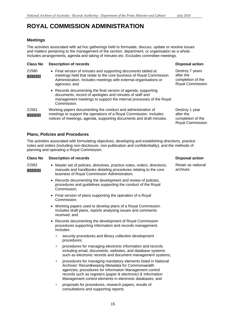### **Meetings**

The activities associated with ad hoc gatherings held to formulate, discuss, update or resolve issues and matters pertaining to the management of the section, department, or organisation as a whole. Includes arrangements, agenda and taking of minutes etc. Excludes committee meetings.

#### **Class No Description of records**

| 21560<br><b>The Committee of the Committee</b> | • Final version of minutes and supporting documents tabled at<br>meetings held that relate to the core business of Royal Commission<br>Administration. Includes meetings with external organisations or<br>agencies; and | De<br>aft<br>CO<br>Ro |
|------------------------------------------------|--------------------------------------------------------------------------------------------------------------------------------------------------------------------------------------------------------------------------|-----------------------|
|                                                | • Records documenting the final version of agenda, supporting<br>documents, record of apologies and minutes of staff and<br>management meetings to support the internal processes of the Royal<br>Commission.            |                       |
| $94E$                                          | Warking papers documenting the conduct and administration of                                                                                                                                                             | n,                    |

## 21561 Working papers documenting the conduct and administration of **MINIMINING THE OPERATIONS OF A ROYAL COMMISSION.** Includes notices of meetings, agenda, supporting documents and draft minutes.

#### **Plans, Policies and Procedures**

The activities associated with formulating objectives, developing and establishing directions, practice notes and orders (including non-disclosure, non-publication and confidentiality), and the methods of planning and operating a Royal Commission.

#### **Class No Description of records**

| 21562 | • Master set of policies, directives, practice notes, orders, directions, |
|-------|---------------------------------------------------------------------------|
|       | manuals and handbooks detailing procedures relating to the core           |
|       | business of Royal Commission Administration;                              |

- Records documenting the development and review of policies, procedures and guidelines supporting the conduct of the Royal Commission;
- Final version of plans supporting the operation of a Royal Commission;
- • Working papers used to develop plans of a Royal Commission. Includes draft plans, reports analysing issues and comments received; and
- Records documenting the development of Royal Commission procedures supporting information and records management. Includes:
	- security procedures and library collection development procedures;
	- procedures for managing electronic information and records including email, documents, websites, and database systems such as electronic records and document management systems;
	- procedures for managing mandatory elements listed in National Archives' Recordkeeping Metadata for Commonwealth agencies; procedures for Information Management control records such as registers (paper & electronic) & Information Management control elements in electronic databases; and
	- proposals for procedures, research papers, results of consultations and supporting reports.

#### **Disposal action**

estroy 7 years ter the mpletion of the byal Commission

Destroy 1 year after the completion of the Royal Commission

#### **Disposal action**

Retain as national archives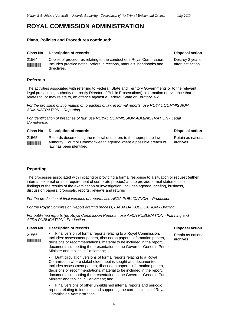### **Plans, Policies and Procedures continued:**

#### **Class No Description of records Class Action Action Action Action Action Action Action Action Action Action Action Action Action Action Action Action Action Action Action Action Action Action Action Action Action Action A**

21564 Copies of procedures relating to the conduct of a Royal Commission. Destroy 2 years INCLUDES practice notes, orders, directions, manuals, handbooks and after last action directives.

#### **Referrals**

The activities associated with referring to Federal, State and Territory Governments or to the relevant legal prosecuting authority (currently Director of Public Prosecutions), information or evidence that relates to, or may relate to, an offence against a Federal, State or Territory law.

*For the provision of information on breaches of law in formal reports, use ROYAL COMMISSION ADMINISTRATION – Reporting.* 

*For identification of breaches of law, use ROYAL COMMISSION ADMINISTRATION - Legal Compliance.* 

#### **Class No Description of records Disposal action Activities Action Activities Action Activities Action Activities**

21565 Records documenting the referral of matters to the appropriate law Retain as national **EXECUTE:** authority, Court or Commonwealth agency where a possible breach of archives<br>law has been identified.

### **Reporting**

The processes associated with initiating or providing a formal response to a situation or request (either internal, external or as a requirement of corporate policies) and to provide formal statements or findings of the results of the examination or investigation. Includes agenda, briefing, business, discussion papers, proposals, reports, reviews and returns

*For the production of final versions of reports, use AFDA PUBLICATION – Production* 

*For the Royal Commission Report drafting process, use AFDA PUBLICATION - Drafting.* 

*For published reports (eg Royal Commission Reports), use AFDA PUBLICATION - Planning and AFDA PUBLICATION - Production.* 

#### **Class No Description of records Class Action Action Action Action Action Action Action Action Action Action Action Action Action Action Action Action Action Action Action Action Action Action Action Action Action Action A**

• Final version of formal reports relating to a Royal Commission. 21566 Retain as national INTINUMINEERTHEINTING INCLUDES: assessment papers, discussion papers, information papers, archives decisions or recommendations, material to be included in the report, documents supporting the presentation to the Governor-General, Prime Minister and tabling in Parliament;

> • Draft circulation versions of formal reports relating to a Royal Commission where stakeholder input is sought and documented. Includes assessment papers, discussion papers, information papers, decisions or recommendations, material to be included in the report, documents supporting the presentation to the Governor-General, Prime Minister and tabling in Parliament; and

• Final versions of other unpublished internal reports and periodic reports relating to inquiries and supporting the core business of Royal Commission Administration.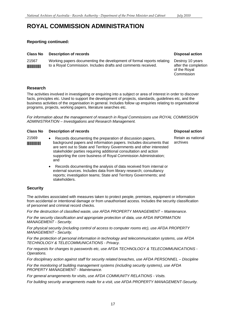### **Reporting continued:**

| <b>Class No</b><br><b>Description of records</b> |  |  |
|--------------------------------------------------|--|--|
|--------------------------------------------------|--|--|

21567 Working papers documenting the development of formal reports relating Destroy 10 years **THEFT THE ROYAL COMMISSION.** Includes drafts and comments received. **after the completion** of the Royal

## **Disposal action**

Commission

### **Research**

The activities involved in investigating or enquiring into a subject or area of interest in order to discover facts, principles etc. Used to support the development of projects, standards, guidelines etc, and the business activities of the organisation in general. Includes follow up enquiries relating to organisational programs, projects, working papers, literature searches etc.

*For information about the management of research in Royal Commissions use ROYAL COMMISSION ADMINISTRATION – Investigations and Research Management.* 

| <b>Class No</b><br><b>Description of records</b> |  |
|--------------------------------------------------|--|
|--------------------------------------------------|--|

- 21569 Records documenting the preparation of discussion papers, Retain as national<br>background papers and information papers locuments that archives **FILITERTY FOR ADAPTER IN A LOCAL PARTMENT IN A LOCAL PROPERTY INCLUDED THAT AND** background papers and information papers. Includes documents that are sent out to State and Territory Governments and other interested stakeholder parties requiring additional consultation and action supporting the core business of Royal Commission Administration; and
	- Records documenting the analysis of data received from internal or external sources. Includes data from library research; consultancy reports; investigation teams; State and Territory Governments; and stakeholders.

### **Security**

The activities associated with measures taken to protect people, premises, equipment or information from accidental or intentional damage or from unauthorised access. Includes the security classification of personnel and criminal record checks.

*For the destruction of classified waste, use AFDA PROPERTY MANAGEMENT – Maintenance.* 

*For the security classification and appropriate protection of data, use AFDA INFORMATION MANAGEMENT - Security.* 

*For physical security (including control of access to computer rooms etc), use AFDA PROPERTY MANAGEMENT - Security.* 

*For the protection of personal information in technology and telecommunication systems, use AFDA TECHNOLOGY & TELECOMMUNICATIONS - Privacy.* 

*For requests for changes to passwords etc, use AFDA TECHNOLOGY & TELECOMMUNICATIONS - Operations.* 

*For disciplinary action against staff for security related breaches, use AFDA PERSONNEL – Discipline* 

*For the monitoring of building management systems (including security systems), use AFDA PROPERTY MANAGEMENT - Maintenance.* 

*For general arrangements for visits, use AFDA COMMUNITY RELATIONS - Visits.* 

*For building security arrangements made for a visit, use AFDA PROPERTY MANAGEMENT-Security.* 

#### **Disposal action**